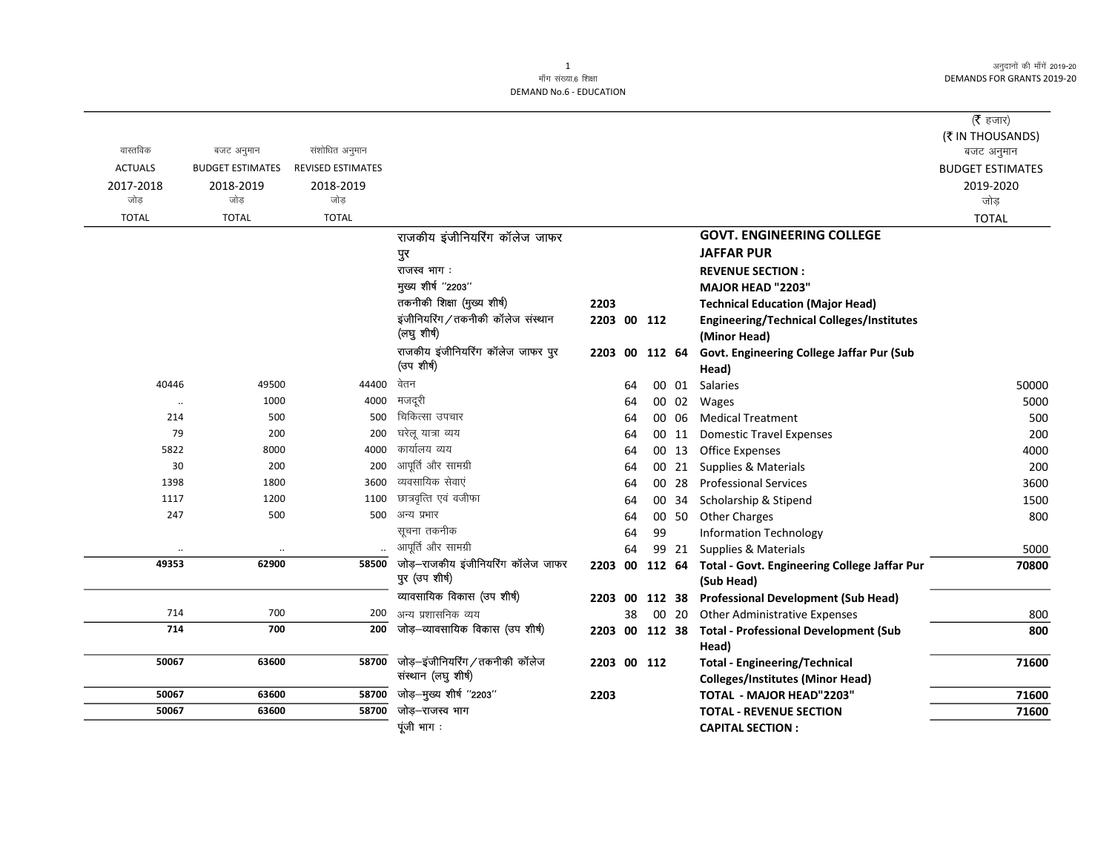अनुदानों की माँगें 2019-20 DEMANDS FOR GRANTS 2019-20

**DEMAND No.6 - EDUCATION** 

|                |                         |                          |                                    |                |    |    |       |                                                             | ( $\bar{\tau}$ हजार)<br>(₹ IN THOUSANDS) |
|----------------|-------------------------|--------------------------|------------------------------------|----------------|----|----|-------|-------------------------------------------------------------|------------------------------------------|
| वास्तविक       | बजट अनुमान              | संशोधित अनुमान           |                                    |                |    |    |       |                                                             | बजट अनुमान                               |
| <b>ACTUALS</b> | <b>BUDGET ESTIMATES</b> | <b>REVISED ESTIMATES</b> |                                    |                |    |    |       |                                                             | <b>BUDGET ESTIMATES</b>                  |
| 2017-2018      | 2018-2019               | 2018-2019                |                                    |                |    |    |       |                                                             | 2019-2020                                |
| जोड            | जोड                     | जोड                      |                                    |                |    |    |       |                                                             | जोड़                                     |
| <b>TOTAL</b>   | <b>TOTAL</b>            | <b>TOTAL</b>             |                                    |                |    |    |       |                                                             | <b>TOTAL</b>                             |
|                |                         |                          | राजकीय इंजीनियरिंग कॉलेज जाफर      |                |    |    |       | <b>GOVT. ENGINEERING COLLEGE</b>                            |                                          |
|                |                         |                          | पुर                                |                |    |    |       | <b>JAFFAR PUR</b>                                           |                                          |
|                |                         |                          | राजस्व भाग:                        |                |    |    |       | <b>REVENUE SECTION:</b>                                     |                                          |
|                |                         |                          | मुख्य शीर्ष "2203"                 |                |    |    |       | MAJOR HEAD "2203"                                           |                                          |
|                |                         |                          | तकनीकी शिक्षा (मुख्य शीर्ष)        | 2203           |    |    |       | <b>Technical Education (Major Head)</b>                     |                                          |
|                |                         |                          | इंजीनियरिंग/तकनीकी कॉलेज संस्थान   | 2203 00 112    |    |    |       | <b>Engineering/Technical Colleges/Institutes</b>            |                                          |
|                |                         |                          | (लघु शीर्ष)                        |                |    |    |       | (Minor Head)                                                |                                          |
|                |                         |                          | राजकीय इंजीनियरिंग कॉलेज जाफर पुर  | 2203 00 112 64 |    |    |       | Govt. Engineering College Jaffar Pur (Sub                   |                                          |
|                |                         |                          | (उप शीर्ष)                         |                |    |    |       | Head)                                                       |                                          |
| 40446          | 49500                   | 44400                    | वेतन                               |                | 64 |    |       | 00 01 Salaries                                              | 50000                                    |
|                | 1000                    | 4000                     | मजदूरी                             |                | 64 |    |       | 00 02 Wages                                                 | 5000                                     |
| 214            | 500                     | 500                      | चिकित्सा उपचार                     |                | 64 |    | 00 06 | <b>Medical Treatment</b>                                    | 500                                      |
| 79             | 200                     | 200                      | घरेलू यात्रा व्यय                  |                | 64 |    | 00 11 | <b>Domestic Travel Expenses</b>                             | 200                                      |
| 5822           | 8000                    | 4000                     | कार्यालय व्यय                      |                | 64 |    |       | 00 13 Office Expenses                                       | 4000                                     |
| 30             | 200                     | 200                      | आपूर्ति और सामग्री                 |                | 64 |    | 00 21 | Supplies & Materials                                        | 200                                      |
| 1398           | 1800                    | 3600                     | व्यवसायिक सेवाएं                   |                | 64 |    | 00 28 | <b>Professional Services</b>                                | 3600                                     |
| 1117           | 1200                    | 1100                     | छात्रवृत्ति एवं वजीफा              |                | 64 |    | 00 34 | Scholarship & Stipend                                       | 1500                                     |
| 247            | 500                     | 500                      | अन्य प्रभार                        |                | 64 |    | 00 50 | <b>Other Charges</b>                                        | 800                                      |
|                |                         |                          | सूचना तकनीक                        |                | 64 | 99 |       | <b>Information Technology</b>                               |                                          |
|                |                         |                          | आपूर्ति और सामग्री                 |                | 64 |    | 99 21 | Supplies & Materials                                        | 5000                                     |
| 49353          | 62900                   | 58500                    | जोड़-राजकीय इंजीनियरिंग कॉलेज जाफर |                |    |    |       | 2203 00 112 64 Total - Govt. Engineering College Jaffar Pur | 70800                                    |
|                |                         |                          | पुर (उप शीर्ष)                     |                |    |    |       | (Sub Head)                                                  |                                          |
|                |                         |                          | व्यावसायिक विकास (उप शीर्ष)        | 2203 00 112 38 |    |    |       | <b>Professional Development (Sub Head)</b>                  |                                          |
| 714            | 700                     | 200                      | अन्य प्रशासनिक व्यय                |                | 38 |    | 00 20 | Other Administrative Expenses                               | 800                                      |
| 714            | 700                     | 200                      | जोड़-व्यावसायिक विकास (उप शीर्ष)   | 2203 00 112 38 |    |    |       | <b>Total - Professional Development (Sub</b>                | 800                                      |
|                |                         |                          |                                    |                |    |    |       | Head)                                                       |                                          |
| 50067          | 63600                   | 58700                    | जोड़-इंजीनियरिंग/तकनीकी कॉलेज      | 2203 00 112    |    |    |       | <b>Total - Engineering/Technical</b>                        | 71600                                    |
|                |                         |                          | संस्थान (लघु शीर्ष)                |                |    |    |       | <b>Colleges/Institutes (Minor Head)</b>                     |                                          |
| 50067          | 63600                   | 58700                    | जोड़-मुख्य शीर्ष "2203"            | 2203           |    |    |       | <b>TOTAL - MAJOR HEAD"2203"</b>                             | 71600                                    |
| 50067          | 63600                   | 58700                    | जोड़–राजस्व भाग                    |                |    |    |       | <b>TOTAL - REVENUE SECTION</b>                              | 71600                                    |
|                |                         |                          | पूंजी भाग :                        |                |    |    |       | <b>CAPITAL SECTION:</b>                                     |                                          |